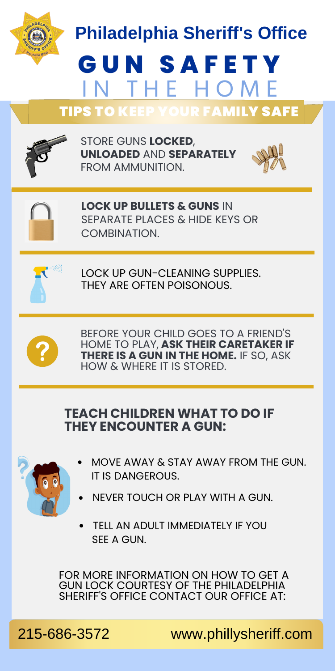THEY ARE OFTEN POISONOUS. BEFORE YOUR CHILD GOES TO A FRIEND'S HOME TO PLAY, **ASK THEIR CARETAKER IF THERE IS A GUN IN THE HOME.** IF SO, ASK **Philadelphia Sheriff's Office LOCK UP BULLETS & GUNS** IN SEPARATE PLACES & HIDE KEYS OR COMBINATION. **G U N S A F E T Y** IN THE HOME TIPS TO KEEP YOUR FAMILY SAFE STORE GUNS **LOCKED**, **UNLOADED** AND **SEPARATELY** FROM AMMUNITION. LOCK UP GUN-CLEANING SUPPLIES.

### **TEACH CHILDREN WHAT TO DO IF THEY ENCOUNTER A GUN:**

HOW & WHERE IT IS STORED.



- MOVE AWAY & STAY AWAY FROM THE GUN. IT IS DANGEROUS.
- NEVER TOUCH OR PLAY WITH A GUN.
- TELL AN ADULT IMMEDIATELY IF YOU SEE A GUN.

FOR MORE INFORMATION ON HOW TO GET A GUN LOCK COURTESY OF THE PHILADELPHIA SHERIFF'S OFFICE CONTACT OUR OFFICE AT:

215-686-3572 www.phillysheriff.com